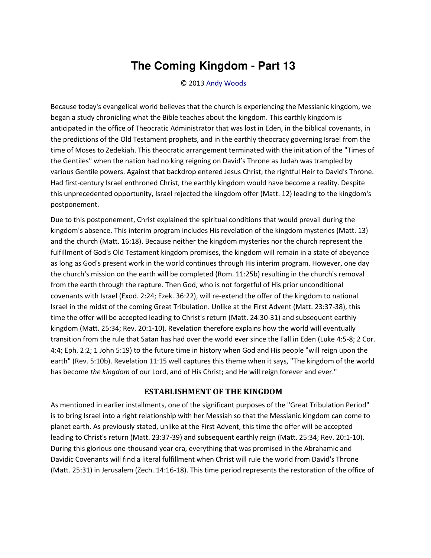## **The Coming Kingdom - Part 13**

© 2013 [Andy Woods](http://www.spiritandtruth.org/id/aw.htm)

Because today's evangelical world believes that the church is experiencing the Messianic kingdom, we began a study chronicling what the Bible teaches about the kingdom. This earthly kingdom is anticipated in the office of Theocratic Administrator that was lost in Eden, in the biblical covenants, in the predictions of the Old Testament prophets, and in the earthly theocracy governing Israel from the time of Moses to Zedekiah. This theocratic arrangement terminated with the initiation of the "Times of the Gentiles" when the nation had no king reigning on David's Throne as Judah was trampled by various Gentile powers. Against that backdrop entered Jesus Christ, the rightful Heir to David's Throne. Had first-century Israel enthroned Christ, the earthly kingdom would have become a reality. Despite this unprecedented opportunity, Israel rejected the kingdom offer (Matt. 12) leading to the kingdom's postponement.

Due to this postponement, Christ explained the spiritual conditions that would prevail during the kingdom's absence. This interim program includes His revelation of the kingdom mysteries (Matt. 13) and the church (Matt. 16:18). Because neither the kingdom mysteries nor the church represent the fulfillment of God's Old Testament kingdom promises, the kingdom will remain in a state of abeyance as long as God's present work in the world continues through His interim program. However, one day the church's mission on the earth will be completed (Rom. 11:25b) resulting in the church's removal from the earth through the rapture. Then God, who is not forgetful of His prior unconditional covenants with Israel (Exod. 2:24; Ezek. 36:22), will re-extend the offer of the kingdom to national Israel in the midst of the coming Great Tribulation. Unlike at the First Advent (Matt. 23:37-38), this time the offer will be accepted leading to Christ's return (Matt. 24:30-31) and subsequent earthly kingdom (Matt. 25:34; Rev. 20:1-10). Revelation therefore explains how the world will eventually transition from the rule that Satan has had over the world ever since the Fall in Eden (Luke 4:5-8; 2 Cor. 4:4; Eph. 2:2; 1 John 5:19) to the future time in history when God and His people "will reign upon the earth" (Rev. 5:10b). Revelation 11:15 well captures this theme when it says, "The kingdom of the world has become *the kingdom* of our Lord, and of His Christ; and He will reign forever and ever."

## **ESTABLISHMENT OF THE KINGDOM**

As mentioned in earlier installments, one of the significant purposes of the "Great Tribulation Period" is to bring Israel into a right relationship with her Messiah so that the Messianic kingdom can come to planet earth. As previously stated, unlike at the First Advent, this time the offer will be accepted leading to Christ's return (Matt. 23:37-39) and subsequent earthly reign (Matt. 25:34; Rev. 20:1-10). During this glorious one-thousand year era, everything that was promised in the Abrahamic and Davidic Covenants will find a literal fulfillment when Christ will rule the world from David's Throne (Matt. 25:31) in Jerusalem (Zech. 14:16-18). This time period represents the restoration of the office of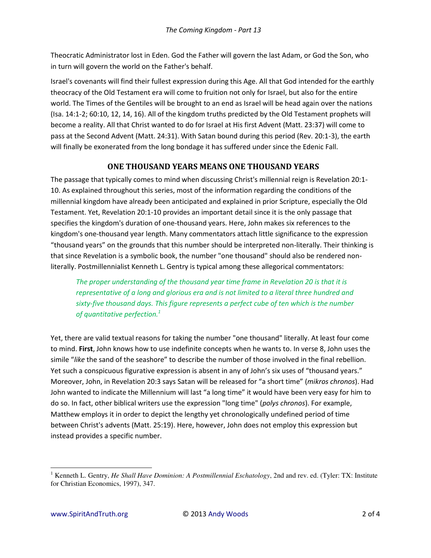Theocratic Administrator lost in Eden. God the Father will govern the last Adam, or God the Son, who in turn will govern the world on the Father's behalf.

Israel's covenants will find their fullest expression during this Age. All that God intended for the earthly theocracy of the Old Testament era will come to fruition not only for Israel, but also for the entire world. The Times of the Gentiles will be brought to an end as Israel will be head again over the nations (Isa. 14:1-2; 60:10, 12, 14, 16). All of the kingdom truths predicted by the Old Testament prophets will become a reality. All that Christ wanted to do for Israel at His first Advent (Matt. 23:37) will come to pass at the Second Advent (Matt. 24:31). With Satan bound during this period (Rev. 20:1-3), the earth will finally be exonerated from the long bondage it has suffered under since the Edenic Fall.

## **ONE THOUSAND YEARS MEANS ONE THOUSAND YEARS**

The passage that typically comes to mind when discussing Christ's millennial reign is Revelation 20:1- 10. As explained throughout this series, most of the information regarding the conditions of the millennial kingdom have already been anticipated and explained in prior Scripture, especially the Old Testament. Yet, Revelation 20:1-10 provides an important detail since it is the only passage that specifies the kingdom's duration of one-thousand years. Here, John makes six references to the kingdom's one-thousand year length. Many commentators attach little significance to the expression "thousand years" on the grounds that this number should be interpreted non-literally. Their thinking is that since Revelation is a symbolic book, the number "one thousand" should also be rendered nonliterally. Postmillennialist Kenneth L. Gentry is typical among these allegorical commentators:

*The proper understanding of the thousand year time frame in Revelation 20 is that it is representative of a long and glorious era and is not limited to a literal three hundred and sixty-five thousand days. This figure represents a perfect cube of ten which is the number of quantitative perfection.<sup>1</sup>* 

Yet, there are valid textual reasons for taking the number "one thousand" literally. At least four come to mind. **First**, John knows how to use indefinite concepts when he wants to. In verse 8, John uses the simile "like the sand of the seashore" to describe the number of those involved in the final rebellion. Yet such a conspicuous figurative expression is absent in any of John's six uses of "thousand years." Moreover, John, in Revelation 20:3 says Satan will be released for "a short time" (*mikros chronos*). Had John wanted to indicate the Millennium will last "a long time" it would have been very easy for him to do so. In fact, other biblical writers use the expression "long time" (*polys chronos*). For example, Matthew employs it in order to depict the lengthy yet chronologically undefined period of time between Christ's advents (Matt. 25:19). Here, however, John does not employ this expression but instead provides a specific number.

 $\overline{\phantom{0}}$ 

<sup>&</sup>lt;sup>1</sup> Kenneth L. Gentry, *He Shall Have Dominion: A Postmillennial Eschatology*, 2nd and rev. ed. (Tyler: TX: Institute for Christian Economics, 1997), 347.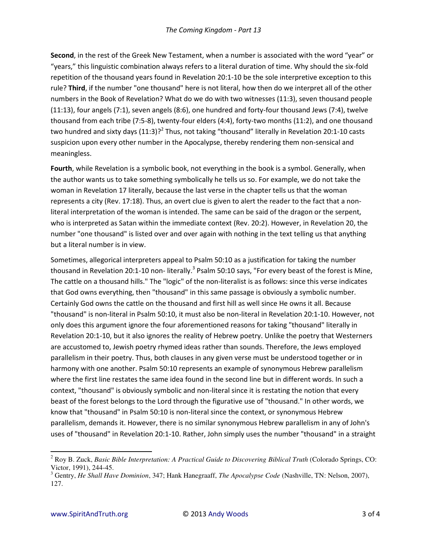**Second**, in the rest of the Greek New Testament, when a number is associated with the word "year" or "years," this linguistic combination always refers to a literal duration of time. Why should the six-fold repetition of the thousand years found in Revelation 20:1-10 be the sole interpretive exception to this rule? **Third**, if the number "one thousand" here is not literal, how then do we interpret all of the other numbers in the Book of Revelation? What do we do with two witnesses (11:3), seven thousand people (11:13), four angels (7:1), seven angels (8:6), one hundred and forty-four thousand Jews (7:4), twelve thousand from each tribe (7:5-8), twenty-four elders (4:4), forty-two months (11:2), and one thousand two hundred and sixty days (11:3)?<sup>2</sup> Thus, not taking "thousand" literally in Revelation 20:1-10 casts suspicion upon every other number in the Apocalypse, thereby rendering them non-sensical and meaningless.

**Fourth**, while Revelation is a symbolic book, not everything in the book is a symbol. Generally, when the author wants us to take something symbolically he tells us so. For example, we do not take the woman in Revelation 17 literally, because the last verse in the chapter tells us that the woman represents a city (Rev. 17:18). Thus, an overt clue is given to alert the reader to the fact that a nonliteral interpretation of the woman is intended. The same can be said of the dragon or the serpent, who is interpreted as Satan within the immediate context (Rev. 20:2). However, in Revelation 20, the number "one thousand" is listed over and over again with nothing in the text telling us that anything but a literal number is in view.

Sometimes, allegorical interpreters appeal to Psalm 50:10 as a justification for taking the number thousand in Revelation 20:1-10 non- literally.<sup>3</sup> Psalm 50:10 says, "For every beast of the forest is Mine, The cattle on a thousand hills." The "logic" of the non-literalist is as follows: since this verse indicates that God owns everything, then "thousand" in this same passage is obviously a symbolic number. Certainly God owns the cattle on the thousand and first hill as well since He owns it all. Because "thousand" is non-literal in Psalm 50:10, it must also be non-literal in Revelation 20:1-10. However, not only does this argument ignore the four aforementioned reasons for taking "thousand" literally in Revelation 20:1-10, but it also ignores the reality of Hebrew poetry. Unlike the poetry that Westerners are accustomed to, Jewish poetry rhymed ideas rather than sounds. Therefore, the Jews employed parallelism in their poetry. Thus, both clauses in any given verse must be understood together or in harmony with one another. Psalm 50:10 represents an example of synonymous Hebrew parallelism where the first line restates the same idea found in the second line but in different words. In such a context, "thousand" is obviously symbolic and non-literal since it is restating the notion that every beast of the forest belongs to the Lord through the figurative use of "thousand." In other words, we know that "thousand" in Psalm 50:10 is non-literal since the context, or synonymous Hebrew parallelism, demands it. However, there is no similar synonymous Hebrew parallelism in any of John's uses of "thousand" in Revelation 20:1-10. Rather, John simply uses the number "thousand" in a straight

 $\overline{a}$ 

<sup>2</sup> Roy B. Zuck, *Basic Bible Interpretation: A Practical Guide to Discovering Biblical Truth* (Colorado Springs, CO: Victor, 1991), 244-45.

<sup>3</sup> Gentry, *He Shall Have Dominion*, 347; Hank Hanegraaff, *The Apocalypse Code* (Nashville, TN: Nelson, 2007), 127.